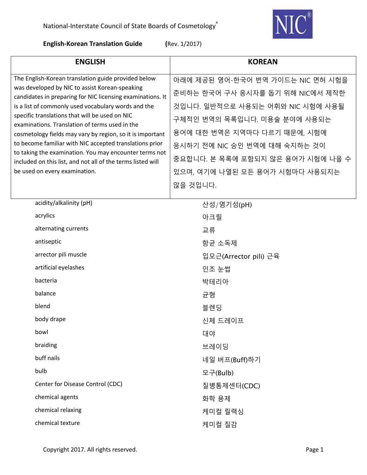

|                                                     | <b>ENGLISH</b>                                                                                                                                                                                                                                                                                                                                                                                  | <b>KOREAN</b>                     |
|-----------------------------------------------------|-------------------------------------------------------------------------------------------------------------------------------------------------------------------------------------------------------------------------------------------------------------------------------------------------------------------------------------------------------------------------------------------------|-----------------------------------|
| The English-Korean translation guide provided below | 아래에 제공된 영어-한국어 번역 가이드는 NIC 면허 시험을                                                                                                                                                                                                                                                                                                                                                               |                                   |
|                                                     | was developed by NIC to assist Korean-speaking<br>candidates in preparing for NIC licensing examinations. It<br>is a list of commonly used vocabulary words and the<br>specific translations that will be used on NIC<br>examinations. Translation of terms used in the<br>cosmetology fields may vary by region, so it is important<br>to become familiar with NIC accepted translations prior | 준비하는 한국어 구사 응시자를 돕기 위해 NIC에서 제작한  |
|                                                     |                                                                                                                                                                                                                                                                                                                                                                                                 | 것입니다. 일반적으로 사용되는 어휘와 NIC 시험에 사용될  |
|                                                     |                                                                                                                                                                                                                                                                                                                                                                                                 | 구체적인 번역의 목록입니다. 미용술 분야에 사용되는      |
|                                                     |                                                                                                                                                                                                                                                                                                                                                                                                 | 용어에 대한 번역은 지역마다 다르기 때문에, 시험에      |
|                                                     |                                                                                                                                                                                                                                                                                                                                                                                                 | 응시하기 전에 NIC 승인 번역에 대해 숙지하는 것이     |
|                                                     | to taking the examination. You may encounter terms not<br>included on this list, and not all of the terms listed will                                                                                                                                                                                                                                                                           | 중요합니다. 본 목록에 포함되지 않은 용어가 시험에 나올 수 |
|                                                     | be used on every examination.                                                                                                                                                                                                                                                                                                                                                                   | 있으며, 여기에 나열된 모든 용어가 시험마다 사용되지는    |
|                                                     |                                                                                                                                                                                                                                                                                                                                                                                                 | 않을 것입니다.                          |
|                                                     |                                                                                                                                                                                                                                                                                                                                                                                                 |                                   |
|                                                     | acidity/alkalinity (pH)                                                                                                                                                                                                                                                                                                                                                                         | 산성/염기성(pH)                        |
|                                                     | acrylics                                                                                                                                                                                                                                                                                                                                                                                        | 아크릴                               |
|                                                     | alternating currents                                                                                                                                                                                                                                                                                                                                                                            | 교류                                |
|                                                     | antiseptic                                                                                                                                                                                                                                                                                                                                                                                      | 항균 소독제                            |
|                                                     | arrector pili muscle                                                                                                                                                                                                                                                                                                                                                                            | 입모근(Arrector pili) 근육             |
|                                                     | artificial eyelashes                                                                                                                                                                                                                                                                                                                                                                            | 인조 눈썹                             |
|                                                     | bacteria                                                                                                                                                                                                                                                                                                                                                                                        | 박테리아                              |
|                                                     | balance                                                                                                                                                                                                                                                                                                                                                                                         | 균형                                |
|                                                     | blend                                                                                                                                                                                                                                                                                                                                                                                           | 블렌딩                               |
|                                                     | body drape                                                                                                                                                                                                                                                                                                                                                                                      | 신체 드레이프                           |
|                                                     | bowl                                                                                                                                                                                                                                                                                                                                                                                            | 대야                                |
|                                                     | braiding                                                                                                                                                                                                                                                                                                                                                                                        | 브레이딩                              |
|                                                     | buff nails                                                                                                                                                                                                                                                                                                                                                                                      | 네일 버프(Buff)하기                     |
|                                                     | bulb                                                                                                                                                                                                                                                                                                                                                                                            | 모구(Bulb)                          |
|                                                     | Center for Disease Control (CDC)                                                                                                                                                                                                                                                                                                                                                                | 질병통제센터(CDC)                       |
|                                                     | chemical agents                                                                                                                                                                                                                                                                                                                                                                                 | 화학 용제                             |
|                                                     | chemical relaxing                                                                                                                                                                                                                                                                                                                                                                               | 케미컬 릴랙싱                           |
|                                                     | chemical texture                                                                                                                                                                                                                                                                                                                                                                                | 케미컬 질감                            |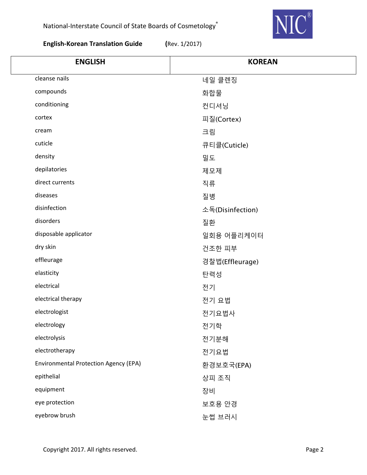

| <b>ENGLISH</b>                               | <b>KOREAN</b>    |
|----------------------------------------------|------------------|
| cleanse nails                                | 네일 클렌징           |
| compounds                                    | 화합물              |
| conditioning                                 | 컨디셔닝             |
| cortex                                       | 피질(Cortex)       |
| cream                                        | 크림               |
| cuticle                                      | 큐티클(Cuticle)     |
| density                                      | 밀도               |
| depilatories                                 | 제모제              |
| direct currents                              | 직류               |
| diseases                                     | 질병               |
| disinfection                                 | 소독(Disinfection) |
| disorders                                    | 질환               |
| disposable applicator                        | 일회용 어플리케이터       |
| dry skin                                     | 건조한 피부           |
| effleurage                                   | 경찰법(Effleurage)  |
| elasticity                                   | 탄력성              |
| electrical                                   | 전기               |
| electrical therapy                           | 전기 요법            |
| electrologist                                | 전기요법사            |
| electrology                                  | 전기학              |
| electrolysis                                 | 전기분해             |
| electrotherapy                               | 전기요법             |
| <b>Environmental Protection Agency (EPA)</b> | 환경보호국(EPA)       |
| epithelial                                   | 상피 조직            |
| equipment                                    | 장비               |
| eye protection                               | 보호용 안경           |
| eyebrow brush                                | 눈썹 브러시           |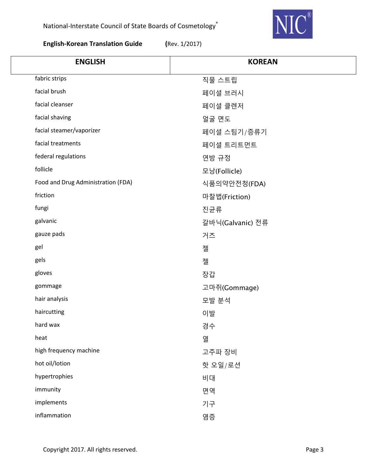

| <b>ENGLISH</b>                     | <b>KOREAN</b>    |
|------------------------------------|------------------|
| fabric strips                      | 직물 스트립           |
| facial brush                       | 페이셜 브러시          |
| facial cleanser                    | 페이셜 클렌저          |
| facial shaving                     | 얼굴 면도            |
| facial steamer/vaporizer           | 페이셜 스팀기/증류기      |
| facial treatments                  | 페이셜 트리트먼트        |
| federal regulations                | 연방 규정            |
| follicle                           | 모낭(Follicle)     |
| Food and Drug Administration (FDA) | 식품의약안전청(FDA)     |
| friction                           | 마찰법(Friction)    |
| fungi                              | 진균류              |
| galvanic                           | 갈바닉(Galvanic) 전류 |
| gauze pads                         | 거즈               |
| gel                                | 젤                |
| gels                               | 젤                |
| gloves                             | 장갑               |
| gommage                            | 고마쥐(Gommage)     |
| hair analysis                      | 모발 분석            |
| haircutting                        | 이발               |
| hard wax                           | 경수               |
| heat                               | 열                |
| high frequency machine             | 고주파 장비           |
| hot oil/lotion                     | 핫 오일/로션          |
| hypertrophies                      | 비대               |
| immunity                           | 면역               |
| implements                         | 기구               |
| inflammation                       | 염증               |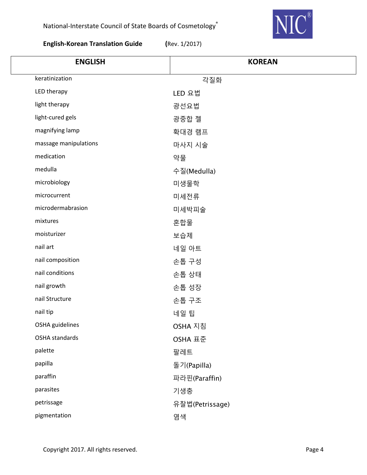

| <b>ENGLISH</b>        | <b>KOREAN</b>   |
|-----------------------|-----------------|
| keratinization        | 각질화             |
| LED therapy           | LED 요법          |
| light therapy         | 광선요법            |
| light-cured gels      | 광중합 젤           |
| magnifying lamp       | 확대경 램프          |
| massage manipulations | 마사지 시술          |
| medication            | 약물              |
| medulla               | 수질(Medulla)     |
| microbiology          | 미생물학            |
| microcurrent          | 미세전류            |
| microdermabrasion     | 미세박피술           |
| mixtures              | 혼합물             |
| moisturizer           | 보습제             |
| nail art              | 네일 아트           |
| nail composition      | 손톱 구성           |
| nail conditions       | 손톱 상태           |
| nail growth           | 손톱 성장           |
| nail Structure        | 손톱 구조           |
| nail tip              | 네일 팁            |
| OSHA guidelines       | OSHA 지침         |
| OSHA standards        | OSHA 표준         |
| palette               | 팔레트             |
| papilla               | 돌기(Papilla)     |
| paraffin              | 파라핀(Paraffin)   |
| parasites             | 기생충             |
| petrissage            | 유찰법(Petrissage) |
| pigmentation          | 염색              |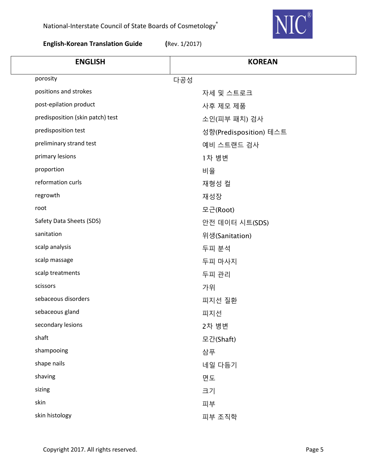

| <b>ENGLISH</b>                   | <b>KOREAN</b>          |
|----------------------------------|------------------------|
| porosity                         | 다공성                    |
| positions and strokes            | 자세 및 스트로크              |
| post-epilation product           | 사후 제모 제품               |
| predisposition (skin patch) test | 소인(피부 패치) 검사           |
| predisposition test              | 성향(Predisposition) 테스트 |
| preliminary strand test          | 예비 스트랜드 검사             |
| primary lesions                  | 1차 병변                  |
| proportion                       | 비율                     |
| reformation curls                | 재형성 컬                  |
| regrowth                         | 재성장                    |
| root                             | 모근(Root)               |
| Safety Data Sheets (SDS)         | 안전 데이터 시트(SDS)         |
| sanitation                       | 위생(Sanitation)         |
| scalp analysis                   | 두피 분석                  |
| scalp massage                    | 두피 마사지                 |
| scalp treatments                 | 두피 관리                  |
| scissors                         | 가위                     |
| sebaceous disorders              | 피지선 질환                 |
| sebaceous gland                  | 피지선                    |
| secondary lesions                | 2차 병변                  |
| shaft                            | 모간(Shaft)              |
| shampooing                       | 삼푸                     |
| shape nails                      | 네일 다듬기                 |
| shaving                          | 면도                     |
| sizing                           | 크기                     |
| skin                             | 피부                     |
| skin histology                   | 피부 조직학                 |